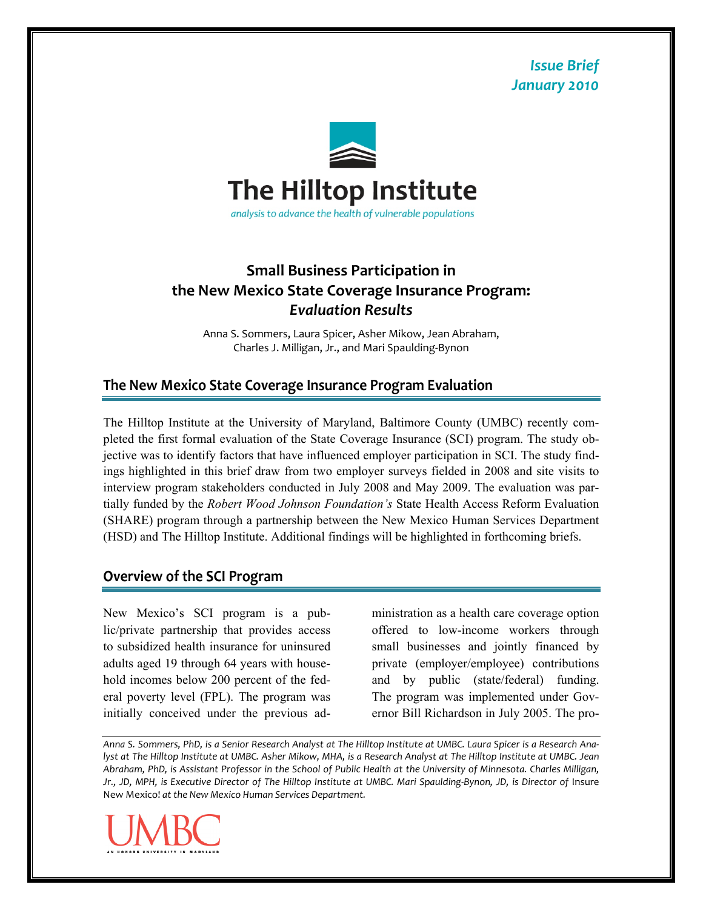*Issue Brief January 2010*



# **Small Business Participation in the New Mexico State Coverage Insurance Program:**  *Evaluation Results*

Anna S. Sommers, Laura Spicer, Asher Mikow, Jean Abraham, Charles J. Milligan, Jr., and Mari Spaulding‐Bynon

## **The New Mexico State Coverage Insurance Program Evaluation**

The Hilltop Institute at the University of Maryland, Baltimore County (UMBC) recently completed the first formal evaluation of the State Coverage Insurance (SCI) program. The study objective was to identify factors that have influenced employer participation in SCI. The study findings highlighted in this brief draw from two employer surveys fielded in 2008 and site visits to interview program stakeholders conducted in July 2008 and May 2009. The evaluation was partially funded by the *Robert Wood Johnson Foundation's* State Health Access Reform Evaluation (SHARE) program through a partnership between the New Mexico Human Services Department (HSD) and The Hilltop Institute. Additional findings will be highlighted in forthcoming briefs.

## **Overview of the SCI Program**

New Mexico's SCI program is a public/private partnership that provides access to subsidized health insurance for uninsured adults aged 19 through 64 years with household incomes below 200 percent of the federal poverty level (FPL). The program was initially conceived under the previous administration as a health care coverage option offered to low-income workers through small businesses and jointly financed by private (employer/employee) contributions and by public (state/federal) funding. The program was implemented under Governor Bill Richardson in July 2005. The pro-

Anna S. Sommers, PhD, is a Senior Research Analyst at The Hilltop Institute at UMBC. Laura Spicer is a Research Analyst at The Hilltop Institute at UMBC. Asher Mikow, MHA, is a Research Analyst at The Hilltop Institute at UMBC. Jean Abraham, PhD, is Assistant Professor in the School of Public Health at the University of Minnesota. Charles Milligan, Jr., JD, MPH, is Executive Director of The Hilltop Institute at UMBC. Mari Spaulding-Bynon, JD, is Director of Insure New Mexico! *at the New Mexico Human Services Department.* 

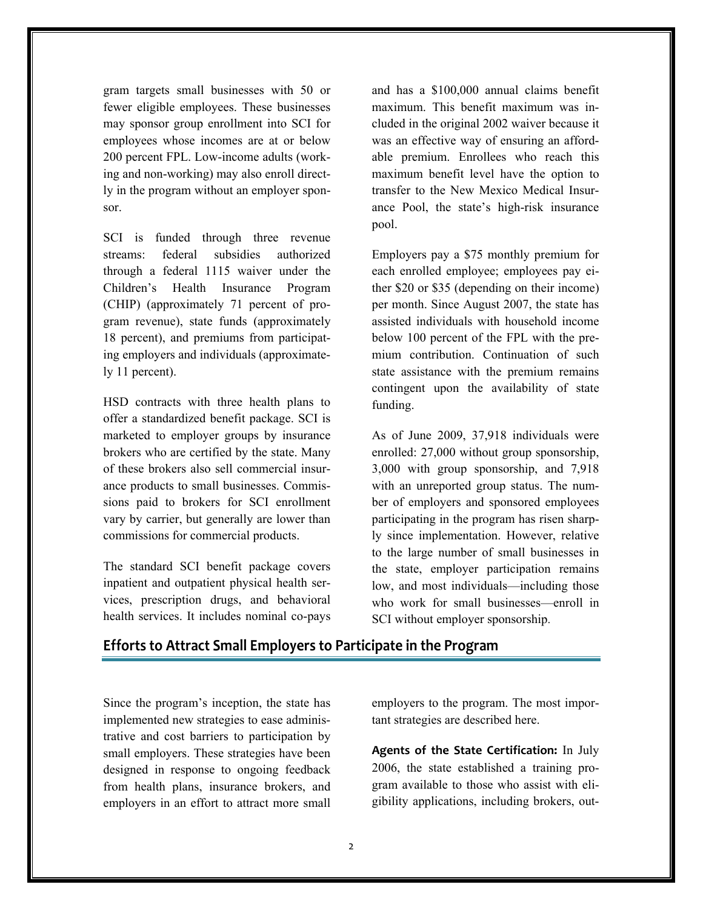gram targets small businesses with 50 or fewer eligible employees. These businesses may sponsor group enrollment into SCI for employees whose incomes are at or below 200 percent FPL. Low-income adults (working and non-working) may also enroll directly in the program without an employer sponsor.

SCI is funded through three revenue streams: federal subsidies authorized through a federal 1115 waiver under the Children's Health Insurance Program (CHIP) (approximately 71 percent of program revenue), state funds (approximately 18 percent), and premiums from participating employers and individuals (approximately 11 percent).

HSD contracts with three health plans to offer a standardized benefit package. SCI is marketed to employer groups by insurance brokers who are certified by the state. Many of these brokers also sell commercial insurance products to small businesses. Commissions paid to brokers for SCI enrollment vary by carrier, but generally are lower than commissions for commercial products.

The standard SCI benefit package covers inpatient and outpatient physical health services, prescription drugs, and behavioral health services. It includes nominal co-pays

and has a \$100,000 annual claims benefit maximum. This benefit maximum was included in the original 2002 waiver because it was an effective way of ensuring an affordable premium. Enrollees who reach this maximum benefit level have the option to transfer to the New Mexico Medical Insurance Pool, the state's high-risk insurance pool.

Employers pay a \$75 monthly premium for each enrolled employee; employees pay either \$20 or \$35 (depending on their income) per month. Since August 2007, the state has assisted individuals with household income below 100 percent of the FPL with the premium contribution. Continuation of such state assistance with the premium remains contingent upon the availability of state funding.

As of June 2009, 37,918 individuals were enrolled: 27,000 without group sponsorship, 3,000 with group sponsorship, and 7,918 with an unreported group status. The number of employers and sponsored employees participating in the program has risen sharply since implementation. However, relative to the large number of small businesses in the state, employer participation remains low, and most individuals—including those who work for small businesses—enroll in SCI without employer sponsorship.

### **Efforts to Attract Small Employers to Participate in the Program**

Since the program's inception, the state has implemented new strategies to ease administrative and cost barriers to participation by small employers. These strategies have been designed in response to ongoing feedback from health plans, insurance brokers, and employers in an effort to attract more small employers to the program. The most important strategies are described here.

**Agents of the State Certification:** In July 2006, the state established a training program available to those who assist with eligibility applications, including brokers, out-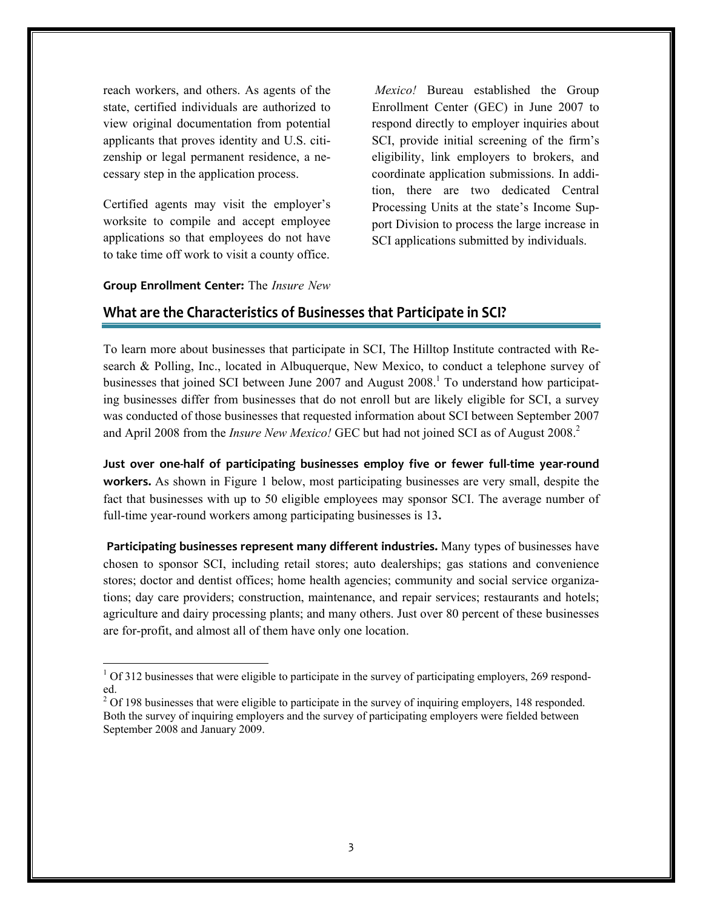reach workers, and others. As agents of the state, certified individuals are authorized to view original documentation from potential applicants that proves identity and U.S. citizenship or legal permanent residence, a necessary step in the application process.

Certified agents may visit the employer's worksite to compile and accept employee applications so that employees do not have to take time off work to visit a county office.

 *Mexico!* Bureau established the Group Enrollment Center (GEC) in June 2007 to respond directly to employer inquiries about SCI, provide initial screening of the firm's eligibility, link employers to brokers, and coordinate application submissions. In addition, there are two dedicated Central Processing Units at the state's Income Support Division to process the large increase in SCI applications submitted by individuals.

### **Group Enrollment Center:** The *Insure New*

 $\overline{a}$ 

## **What are the Characteristics of Businesses that Participate in SCI?**

To learn more about businesses that participate in SCI, The Hilltop Institute contracted with Research & Polling, Inc., located in Albuquerque, New Mexico, to conduct a telephone survey of businesses that joined SCI between June 2007 and August 2008.<sup>1</sup> To understand how participating businesses differ from businesses that do not enroll but are likely eligible for SCI, a survey was conducted of those businesses that requested information about SCI between September 2007 and April 2008 from the *Insure New Mexico!* GEC but had not joined SCI as of August 2008.<sup>2</sup>

**Just over one‐half of participating businesses employ five or fewer full‐time year‐round workers.** As shown in Figure 1 below, most participating businesses are very small, despite the fact that businesses with up to 50 eligible employees may sponsor SCI. The average number of full-time year-round workers among participating businesses is 13**.** 

**Participating businesses represent many different industries.** Many types of businesses have chosen to sponsor SCI, including retail stores; auto dealerships; gas stations and convenience stores; doctor and dentist offices; home health agencies; community and social service organizations; day care providers; construction, maintenance, and repair services; restaurants and hotels; agriculture and dairy processing plants; and many others. Just over 80 percent of these businesses are for-profit, and almost all of them have only one location.

 $1$  Of 312 businesses that were eligible to participate in the survey of participating employers, 269 responded.

 $2$  Of 198 businesses that were eligible to participate in the survey of inquiring employers, 148 responded. Both the survey of inquiring employers and the survey of participating employers were fielded between September 2008 and January 2009.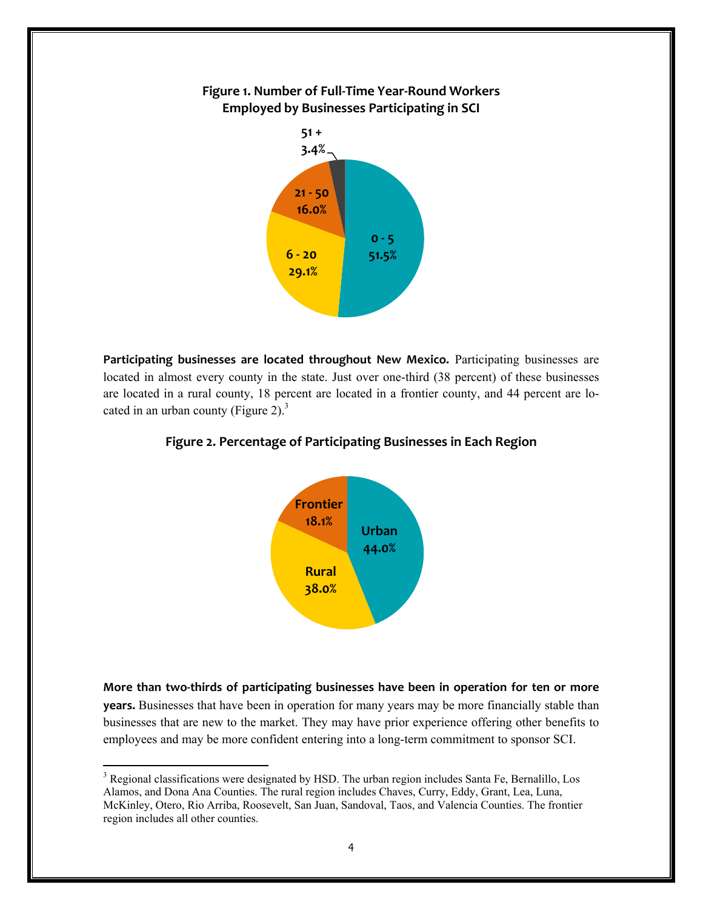

**Participating businesses are located throughout New Mexico.** Participating businesses are located in almost every county in the state. Just over one-third (38 percent) of these businesses are located in a rural county, 18 percent are located in a frontier county, and 44 percent are located in an urban county (Figure 2). $3$ 



#### **Figure 2. Percentage of Participating Businesses in Each Region**

**More than two‐thirds of participating businesses have been in operation for ten or more years.** Businesses that have been in operation for many years may be more financially stable than businesses that are new to the market. They may have prior experience offering other benefits to employees and may be more confident entering into a long-term commitment to sponsor SCI.

 $\overline{a}$ 

<sup>&</sup>lt;sup>3</sup> Regional classifications were designated by HSD. The urban region includes Santa Fe, Bernalillo, Los Alamos, and Dona Ana Counties. The rural region includes Chaves, Curry, Eddy, Grant, Lea, Luna, McKinley, Otero, Rio Arriba, Roosevelt, San Juan, Sandoval, Taos, and Valencia Counties. The frontier region includes all other counties.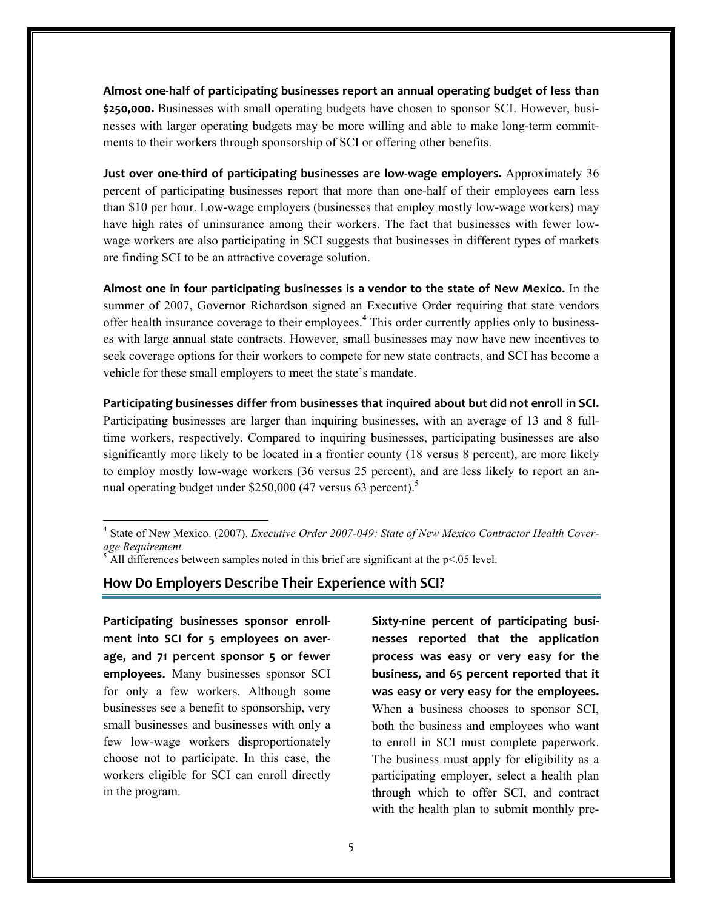**Almost one‐half of participating businesses report an annual operating budget of less than \$250,000.** Businesses with small operating budgets have chosen to sponsor SCI. However, businesses with larger operating budgets may be more willing and able to make long-term commitments to their workers through sponsorship of SCI or offering other benefits.

**Just over one‐third of participating businesses are low‐wage employers.** Approximately 36 percent of participating businesses report that more than one-half of their employees earn less than \$10 per hour. Low-wage employers (businesses that employ mostly low-wage workers) may have high rates of uninsurance among their workers. The fact that businesses with fewer lowwage workers are also participating in SCI suggests that businesses in different types of markets are finding SCI to be an attractive coverage solution.

**Almost one in four participating businesses is a vendor to the state of New Mexico.** In the summer of 2007, Governor Richardson signed an Executive Order requiring that state vendors offer health insurance coverage to their employees.**<sup>4</sup>** This order currently applies only to businesses with large annual state contracts. However, small businesses may now have new incentives to seek coverage options for their workers to compete for new state contracts, and SCI has become a vehicle for these small employers to meet the state's mandate.

**Participating businesses differ from businesses that inquired about but did not enroll in SCI.** Participating businesses are larger than inquiring businesses, with an average of 13 and 8 fulltime workers, respectively. Compared to inquiring businesses, participating businesses are also significantly more likely to be located in a frontier county (18 versus 8 percent), are more likely to employ mostly low-wage workers (36 versus 25 percent), and are less likely to report an annual operating budget under \$250,000 (47 versus 63 percent).<sup>5</sup>

**Participating businesses sponsor enroll‐ ment into SCI for 5 employees on aver‐ age, and 71 percent sponsor 5 or fewer employees.** Many businesses sponsor SCI for only a few workers. Although some businesses see a benefit to sponsorship, very small businesses and businesses with only a few low-wage workers disproportionately choose not to participate. In this case, the workers eligible for SCI can enroll directly in the program.

 $\overline{a}$ 

**Sixty‐nine percent of participating busi‐ nesses reported that the application process was easy or very easy for the business, and 65 percent reported that it was easy or very easy for the employees.** When a business chooses to sponsor SCI, both the business and employees who want to enroll in SCI must complete paperwork. The business must apply for eligibility as a participating employer, select a health plan through which to offer SCI, and contract with the health plan to submit monthly pre-

<sup>4</sup> State of New Mexico. (2007). *Executive Order 2007-049: State of New Mexico Contractor Health Coverage Requirement.*

 $<sup>5</sup>$  All differences between samples noted in this brief are significant at the p<.05 level.</sup>

**How Do Employers Describe Their Experience with SCI?**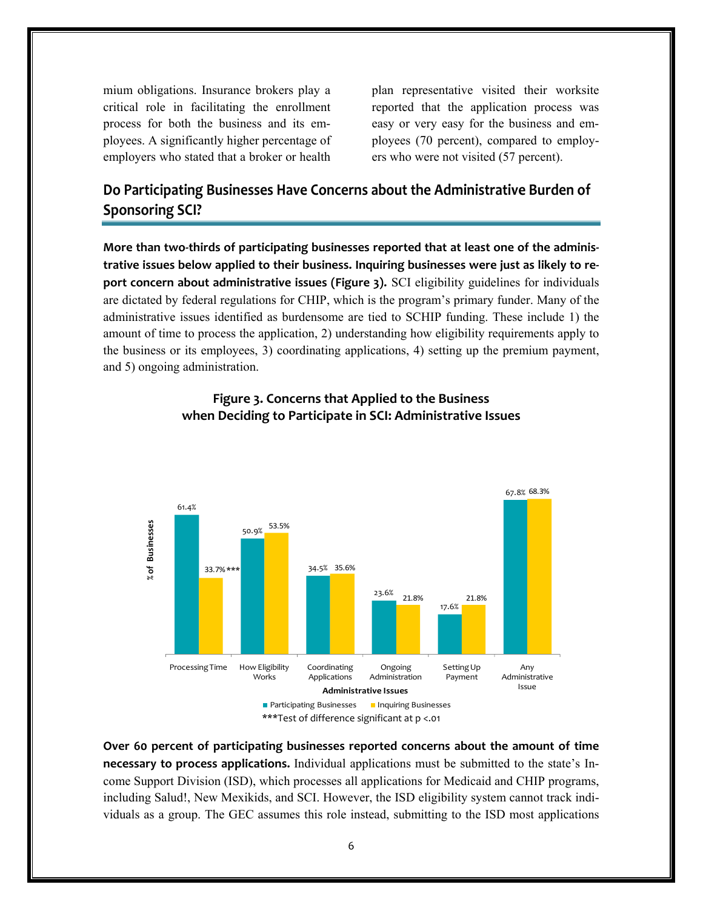mium obligations. Insurance brokers play a critical role in facilitating the enrollment process for both the business and its employees. A significantly higher percentage of employers who stated that a broker or health

plan representative visited their worksite reported that the application process was easy or very easy for the business and employees (70 percent), compared to employers who were not visited (57 percent).

## **Do Participating Businesses Have Concerns about the Administrative Burden of Sponsoring SCI?**

**More than two‐thirds of participating businesses reported that at least one of the adminis‐ trative issues below applied to their business. Inquiring businesses were just as likely to re‐ port concern about administrative issues (Figure 3).** SCI eligibility guidelines for individuals are dictated by federal regulations for CHIP, which is the program's primary funder. Many of the administrative issues identified as burdensome are tied to SCHIP funding. These include 1) the amount of time to process the application, 2) understanding how eligibility requirements apply to the business or its employees, 3) coordinating applications, 4) setting up the premium payment, and 5) ongoing administration.



### **Figure 3. Concerns that Applied to the Business when Deciding to Participate in SCI: Administrative Issues**

**Over 60 percent of participating businesses reported concerns about the amount of time necessary to process applications.** Individual applications must be submitted to the state's Income Support Division (ISD), which processes all applications for Medicaid and CHIP programs, including Salud!, New Mexikids, and SCI. However, the ISD eligibility system cannot track individuals as a group. The GEC assumes this role instead, submitting to the ISD most applications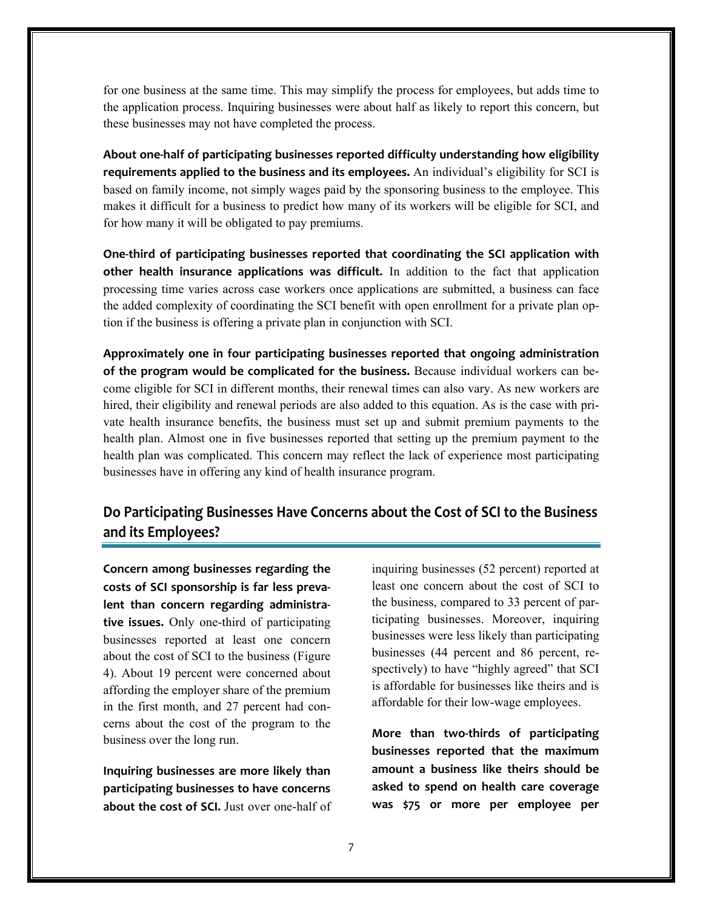for one business at the same time. This may simplify the process for employees, but adds time to the application process. Inquiring businesses were about half as likely to report this concern, but these businesses may not have completed the process.

**About one‐half of participating businesses reported difficulty understanding how eligibility requirements applied to the business and its employees.** An individual's eligibility for SCI is based on family income, not simply wages paid by the sponsoring business to the employee. This makes it difficult for a business to predict how many of its workers will be eligible for SCI, and for how many it will be obligated to pay premiums.

**One‐third of participating businesses reported that coordinating the SCI application with other health insurance applications was difficult.** In addition to the fact that application processing time varies across case workers once applications are submitted, a business can face the added complexity of coordinating the SCI benefit with open enrollment for a private plan option if the business is offering a private plan in conjunction with SCI.

**Approximately one in four participating businesses reported that ongoing administration of the program would be complicated for the business.** Because individual workers can become eligible for SCI in different months, their renewal times can also vary. As new workers are hired, their eligibility and renewal periods are also added to this equation. As is the case with private health insurance benefits, the business must set up and submit premium payments to the health plan. Almost one in five businesses reported that setting up the premium payment to the health plan was complicated. This concern may reflect the lack of experience most participating businesses have in offering any kind of health insurance program.

## **Do Participating Businesses Have Concerns about the Cost of SCI to the Business and its Employees?**

**Concern among businesses regarding the costs of SCI sponsorship is far less preva‐ lent than concern regarding administra‐ tive issues.** Only one-third of participating businesses reported at least one concern about the cost of SCI to the business (Figure 4). About 19 percent were concerned about affording the employer share of the premium in the first month, and 27 percent had concerns about the cost of the program to the business over the long run.

**Inquiring businesses are more likely than participating businesses to have concerns about the cost of SCI.** Just over one-half of

inquiring businesses (52 percent) reported at least one concern about the cost of SCI to the business, compared to 33 percent of participating businesses. Moreover, inquiring businesses were less likely than participating businesses (44 percent and 86 percent, respectively) to have "highly agreed" that SCI is affordable for businesses like theirs and is affordable for their low-wage employees.

**More than two‐thirds of participating businesses reported that the maximum amount a business like theirs should be asked to spend on health care coverage was \$75 or more per employee per**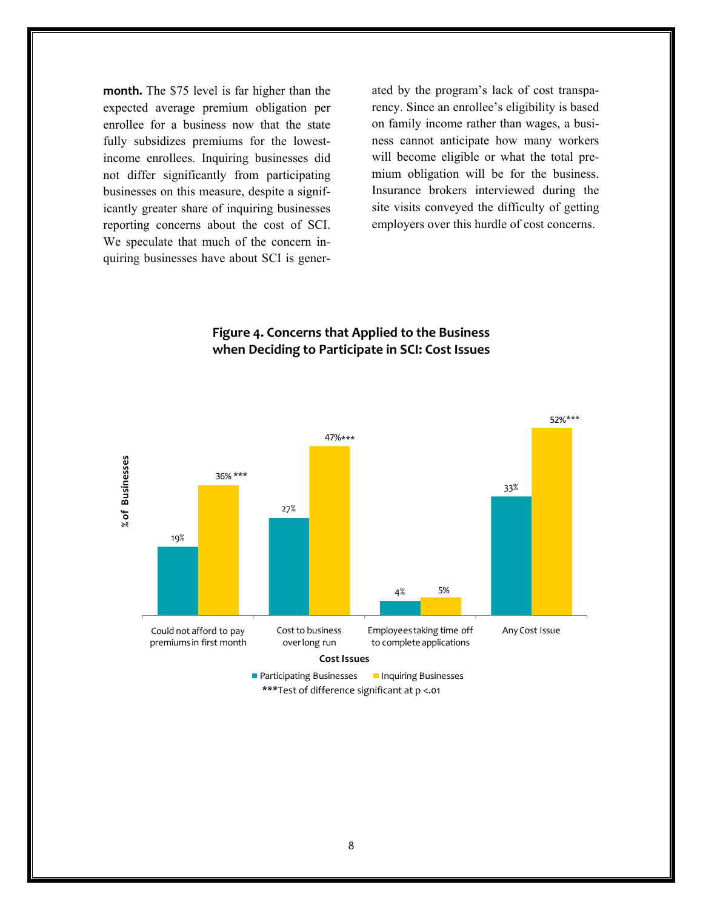**month.** The \$75 level is far higher than the expected average premium obligation per enrollee for a business now that the state fully subsidizes premiums for the lowestincome enrollees. Inquiring businesses did not differ significantly from participating businesses on this measure, despite a significantly greater share of inquiring businesses reporting concerns about the cost of SCI. We speculate that much of the concern inquiring businesses have about SCI is gener-

ated by the program's lack of cost transparency. Since an enrollee's eligibility is based on family income rather than wages, a business cannot anticipate how many workers will become eligible or what the total premium obligation will be for the business. Insurance brokers interviewed during the site visits conveyed the difficulty of getting employers over this hurdle of cost concerns.

### **Figure 4. Concerns that Applied to the Business when Deciding to Participate in SCI: Cost Issues**

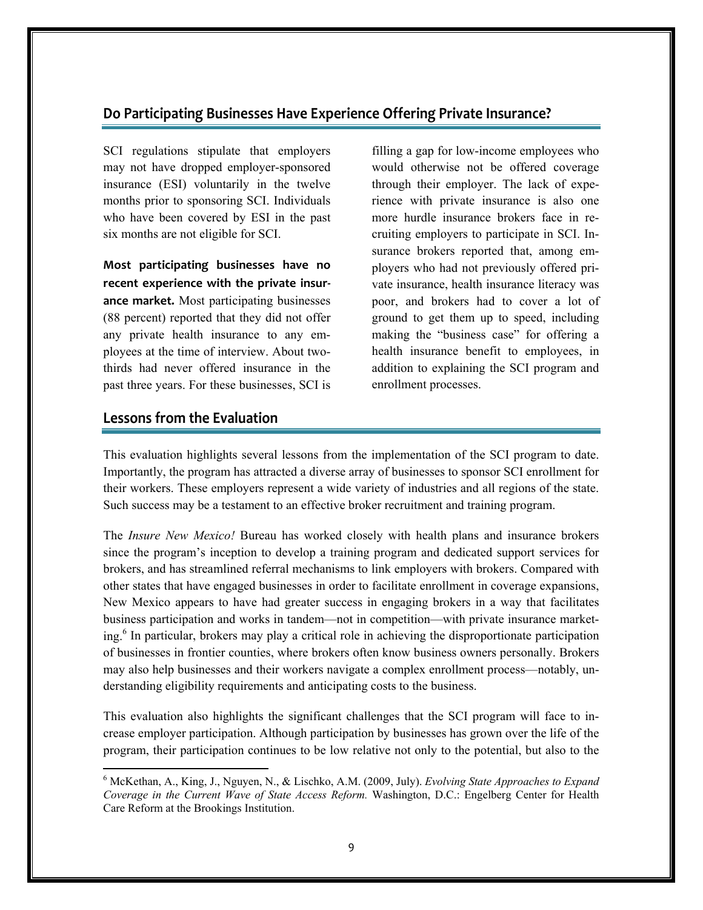## **Do Participating Businesses Have Experience Offering Private Insurance?**

SCI regulations stipulate that employers may not have dropped employer-sponsored insurance (ESI) voluntarily in the twelve months prior to sponsoring SCI. Individuals who have been covered by ESI in the past six months are not eligible for SCI.

**Most participating businesses have no recent experience with the private insur‐ ance market.** Most participating businesses (88 percent) reported that they did not offer any private health insurance to any employees at the time of interview. About twothirds had never offered insurance in the past three years. For these businesses, SCI is

filling a gap for low-income employees who would otherwise not be offered coverage through their employer. The lack of experience with private insurance is also one more hurdle insurance brokers face in recruiting employers to participate in SCI. Insurance brokers reported that, among employers who had not previously offered private insurance, health insurance literacy was poor, and brokers had to cover a lot of ground to get them up to speed, including making the "business case" for offering a health insurance benefit to employees, in addition to explaining the SCI program and enrollment processes.

## **Lessons from the Evaluation**

 $\overline{a}$ 

This evaluation highlights several lessons from the implementation of the SCI program to date. Importantly, the program has attracted a diverse array of businesses to sponsor SCI enrollment for their workers. These employers represent a wide variety of industries and all regions of the state. Such success may be a testament to an effective broker recruitment and training program.

The *Insure New Mexico!* Bureau has worked closely with health plans and insurance brokers since the program's inception to develop a training program and dedicated support services for brokers, and has streamlined referral mechanisms to link employers with brokers. Compared with other states that have engaged businesses in order to facilitate enrollment in coverage expansions, New Mexico appears to have had greater success in engaging brokers in a way that facilitates business participation and works in tandem—not in competition—with private insurance marketing.<sup>6</sup> In particular, brokers may play a critical role in achieving the disproportionate participation of businesses in frontier counties, where brokers often know business owners personally. Brokers may also help businesses and their workers navigate a complex enrollment process—notably, understanding eligibility requirements and anticipating costs to the business.

This evaluation also highlights the significant challenges that the SCI program will face to increase employer participation. Although participation by businesses has grown over the life of the program, their participation continues to be low relative not only to the potential, but also to the

<sup>6</sup> McKethan, A., King, J., Nguyen, N., & Lischko, A.M. (2009, July). *Evolving State Approaches to Expand Coverage in the Current Wave of State Access Reform.* Washington, D.C.: Engelberg Center for Health Care Reform at the Brookings Institution.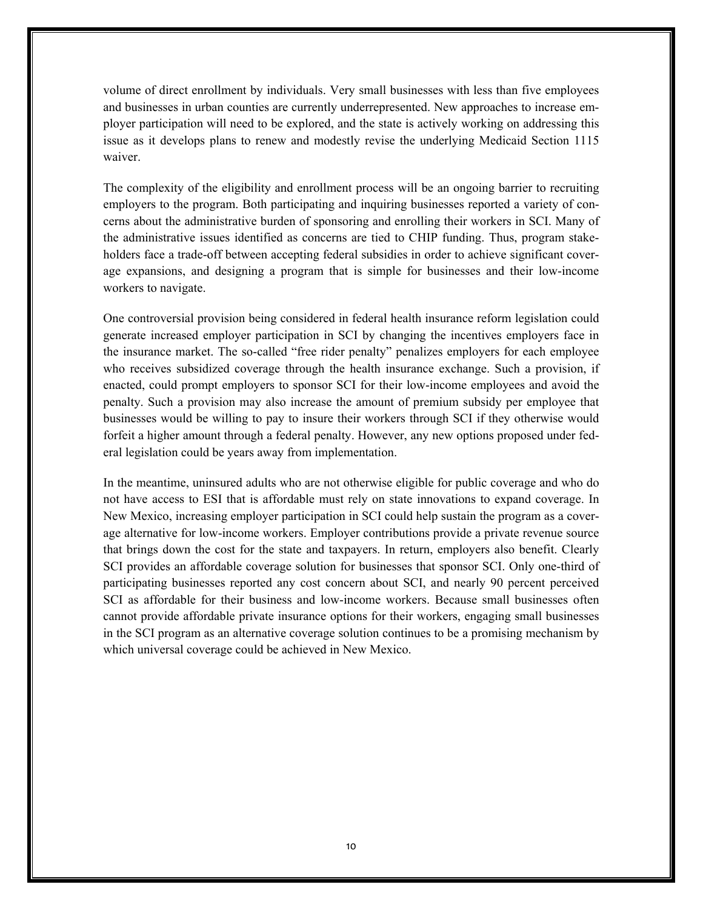volume of direct enrollment by individuals. Very small businesses with less than five employees and businesses in urban counties are currently underrepresented. New approaches to increase employer participation will need to be explored, and the state is actively working on addressing this issue as it develops plans to renew and modestly revise the underlying Medicaid Section 1115 waiver.

The complexity of the eligibility and enrollment process will be an ongoing barrier to recruiting employers to the program. Both participating and inquiring businesses reported a variety of concerns about the administrative burden of sponsoring and enrolling their workers in SCI. Many of the administrative issues identified as concerns are tied to CHIP funding. Thus, program stakeholders face a trade-off between accepting federal subsidies in order to achieve significant coverage expansions, and designing a program that is simple for businesses and their low-income workers to navigate.

One controversial provision being considered in federal health insurance reform legislation could generate increased employer participation in SCI by changing the incentives employers face in the insurance market. The so-called "free rider penalty" penalizes employers for each employee who receives subsidized coverage through the health insurance exchange. Such a provision, if enacted, could prompt employers to sponsor SCI for their low-income employees and avoid the penalty. Such a provision may also increase the amount of premium subsidy per employee that businesses would be willing to pay to insure their workers through SCI if they otherwise would forfeit a higher amount through a federal penalty. However, any new options proposed under federal legislation could be years away from implementation.

In the meantime, uninsured adults who are not otherwise eligible for public coverage and who do not have access to ESI that is affordable must rely on state innovations to expand coverage. In New Mexico, increasing employer participation in SCI could help sustain the program as a coverage alternative for low-income workers. Employer contributions provide a private revenue source that brings down the cost for the state and taxpayers. In return, employers also benefit. Clearly SCI provides an affordable coverage solution for businesses that sponsor SCI. Only one-third of participating businesses reported any cost concern about SCI, and nearly 90 percent perceived SCI as affordable for their business and low-income workers. Because small businesses often cannot provide affordable private insurance options for their workers, engaging small businesses in the SCI program as an alternative coverage solution continues to be a promising mechanism by which universal coverage could be achieved in New Mexico.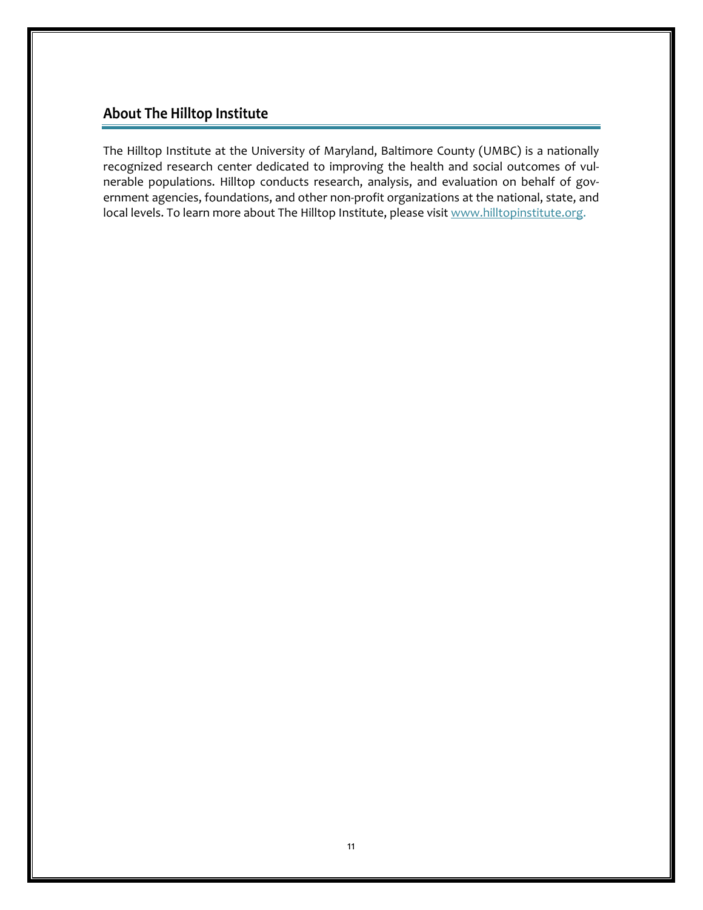## **About The Hilltop Institute**

The Hilltop Institute at the University of Maryland, Baltimore County (UMBC) is a nationally recognized research center dedicated to improving the health and social outcomes of vul‐ nerable populations. Hilltop conducts research, analysis, and evaluation on behalf of government agencies, foundations, and other non‐profit organizations at the national, state, and local levels. To learn more about The Hilltop Institute, please visit www.hilltopinstitute.org.